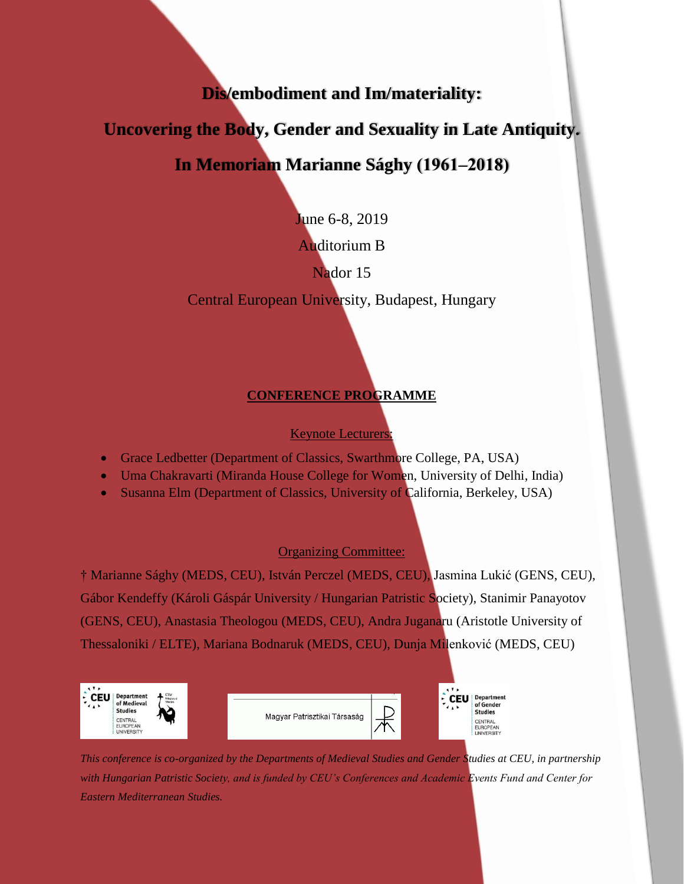**Dis/embodiment and Im/materiality:** 

**Uncovering the Body, Gender and Sexuality in Late Antiquity.**

# **In Memoriam Marianne Sághy (1961‒2018)**

June 6-8, 2019

Auditorium B

Nador 15

Central European University, Budapest, Hungary

# **CONFERENCE PROGRAMME**

Keynote Lecturers:

- Grace Ledbetter (Department of Classics, Swarthmore College, PA, USA)
- Uma Chakravarti (Miranda House College for Women, University of Delhi, India)
- Susanna Elm (Department of Classics, University of California, Berkeley, USA)

## Organizing Committee:

† Marianne Sághy (MEDS, CEU), István Perczel (MEDS, CEU), Jasmina Lukić (GENS, CEU), Gábor Kendeffy (Károli Gáspár University / Hungarian Patristic Society), Stanimir Panayotov (GENS, CEU), Anastasia Theologou (MEDS, CEU), Andra Juganaru (Aristotle University of Thessaloniki / ELTE), Mariana Bodnaruk (MEDS, CEU), Dunja Milenković (MEDS, CEU)



*This conference is co-organized by the Departments of Medieval Studies and Gender Studies at CEU, in partnership with Hungarian Patristic Society, and is funded by CEU's Conferences and Academic Events Fund and Center for Eastern Mediterranean Studies.*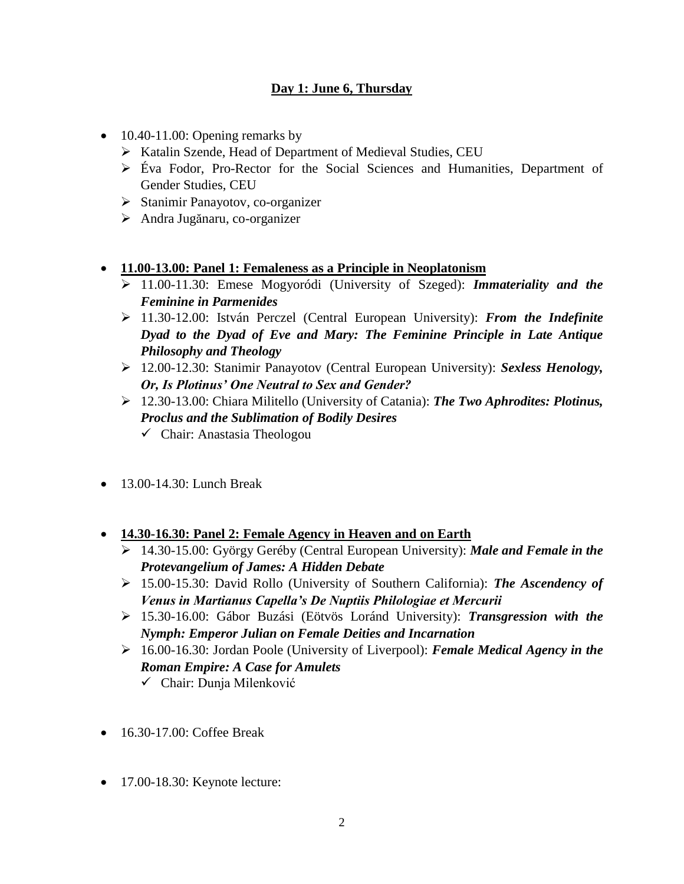## **Day 1: June 6, Thursday**

- $\bullet$  10.40-11.00: Opening remarks by
	- $\triangleright$  Katalin Szende, Head of Department of Medieval Studies, CEU
	- Éva Fodor, Pro-Rector for the Social Sciences and Humanities, Department of Gender Studies, CEU
	- $\triangleright$  Stanimir Panayotov, co-organizer
	- Andra Jugănaru, co-organizer
- **11.00-13.00: Panel 1: Femaleness as a Principle in Neoplatonism**
	- 11.00-11.30: Emese Mogyoródi (University of Szeged): *Immateriality and the Feminine in Parmenides*
	- 11.30-12.00: István Perczel (Central European University): *From the Indefinite Dyad to the Dyad of Eve and Mary: The Feminine Principle in Late Antique Philosophy and Theology*
	- 12.00-12.30: Stanimir Panayotov (Central European University): *Sexless Henology, Or, Is Plotinus' One Neutral to Sex and Gender?*
	- 12.30-13.00: Chiara Militello (University of Catania): *The Two Aphrodites: Plotinus, Proclus and the Sublimation of Bodily Desires*
		- $\checkmark$  Chair: Anastasia Theologou
- $\bullet$  13.00-14.30: Lunch Break
- **14.30-16.30: Panel 2: Female Agency in Heaven and on Earth**
	- 14.30-15.00: György Geréby (Central European University): *Male and Female in the Protevangelium of James: A Hidden Debate*
	- 15.00-15.30: David Rollo (University of Southern California): *The Ascendency of Venus in Martianus Capella's De Nuptiis Philologiae et Mercurii*
	- 15.30-16.00: Gábor Buzási (Eötvös Loránd University): *Transgression with the Nymph: Emperor Julian on Female Deities and Incarnation*
	- 16.00-16.30: Jordan Poole (University of Liverpool): *Female Medical Agency in the Roman Empire: A Case for Amulets*
		- Chair: Dunja Milenković
- 16.30-17.00: Coffee Break
- 17.00-18.30: Keynote lecture: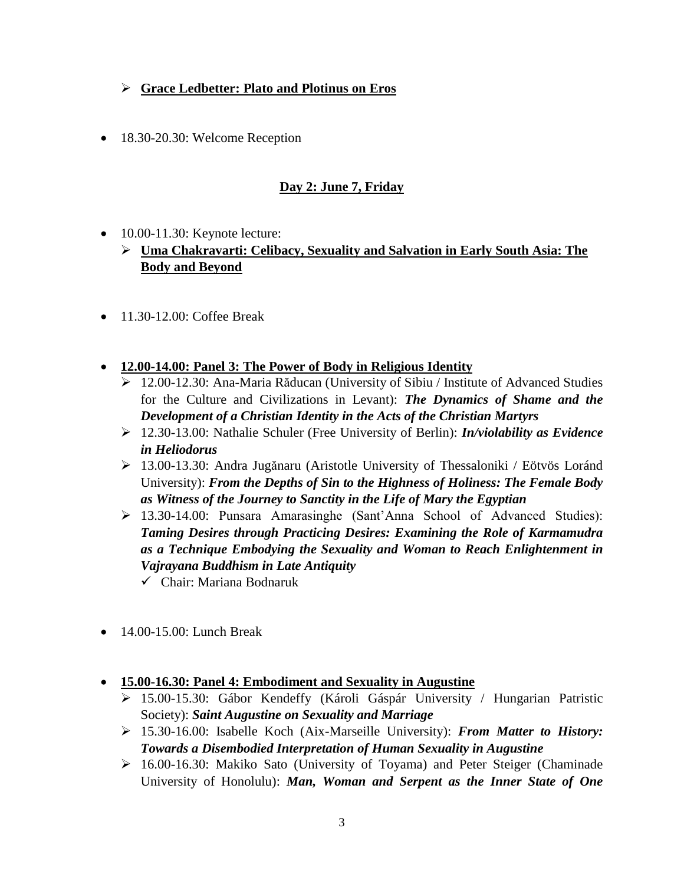## **Grace Ledbetter: Plato and Plotinus on Eros**

• 18.30-20.30: Welcome Reception

## **Day 2: June 7, Friday**

- $\bullet$  10.00-11.30: Keynote lecture:
	- **Uma Chakravarti: Celibacy, Sexuality and Salvation in Early South Asia: The Body and Beyond**
- $\bullet$  11.30-12.00: Coffee Break
- **12.00-14.00: Panel 3: The Power of Body in Religious Identity**
	- 12.00-12.30: Ana-Maria Răducan (University of Sibiu / Institute of Advanced Studies for the Culture and Civilizations in Levant): *The Dynamics of Shame and the Development of a Christian Identity in the Acts of the Christian Martyrs*
	- 12.30-13.00: Nathalie Schuler (Free University of Berlin): *In/violability as Evidence in Heliodorus*
	- 13.00-13.30: Andra Jugănaru (Aristotle University of Thessaloniki / Eötvös Loránd University): *From the Depths of Sin to the Highness of Holiness: The Female Body as Witness of the Journey to Sanctity in the Life of Mary the Egyptian*
	- 13.30-14.00: Punsara Amarasinghe (Sant'Anna School of Advanced Studies): *Taming Desires through Practicing Desires: Examining the Role of Karmamudra as a Technique Embodying the Sexuality and Woman to Reach Enlightenment in Vajrayana Buddhism in Late Antiquity*
		- Chair: Mariana Bodnaruk
- 14.00-15.00: Lunch Break
- **15.00-16.30: Panel 4: Embodiment and Sexuality in Augustine**
	- 15.00-15.30: Gábor Kendeffy (Károli Gáspár University / Hungarian Patristic Society): *Saint Augustine on Sexuality and Marriage*
	- 15.30-16.00: Isabelle Koch (Aix-Marseille University): *From Matter to History: Towards a Disembodied Interpretation of Human Sexuality in Augustine*
	- $\geq 16.00-16.30$ : Makiko Sato (University of Toyama) and Peter Steiger (Chaminade University of Honolulu): *Man, Woman and Serpent as the Inner State of One*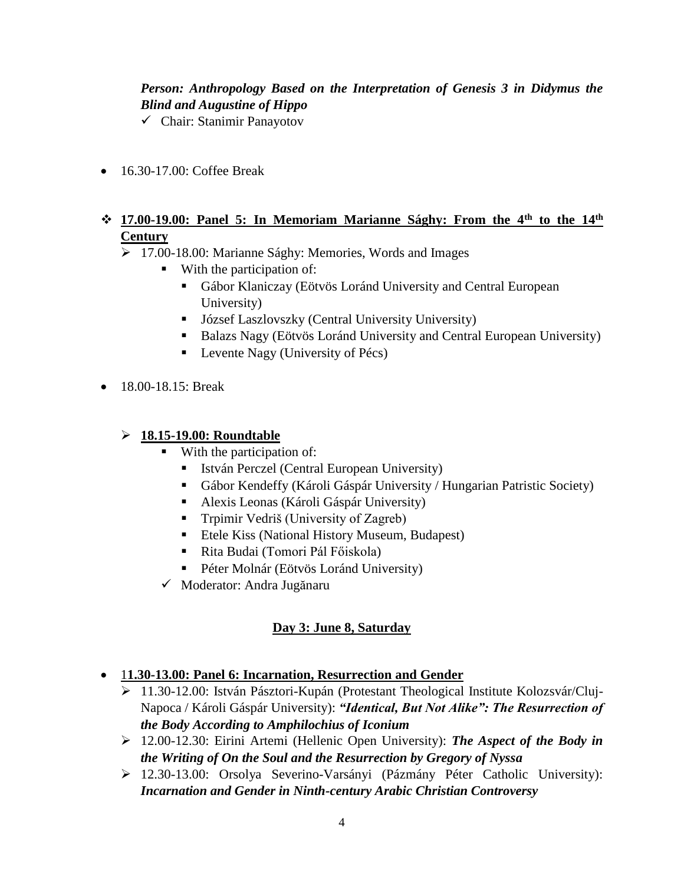## *Person: Anthropology Based on the Interpretation of Genesis 3 in Didymus the Blind and Augustine of Hippo*

- Chair: Stanimir Panayotov
- 16.30-17.00: Coffee Break

#### **17.00-19.00: Panel 5: In Memoriam Marianne Sághy: From the 4th to the 14th Century**

- 17.00-18.00: Marianne Sághy: Memories, Words and Images
	- With the participation of:
		- Gábor Klaniczay (Eötvös Loránd University and Central European University)
		- József Laszlovszky (Central University University)
		- Balazs Nagy (Eötvös Loránd University and Central European University)
		- $\blacksquare$  Levente Nagy (University of Pécs)
- 18.00-18.15: Break

#### **18.15-19.00: Roundtable**

- With the participation of:
	- István Perczel (Central European University)
	- Gábor Kendeffy (Károli Gáspár University / Hungarian Patristic Society)
	- Alexis Leonas (Károli Gáspár University)
	- **Trpimir Vedriš (University of Zagreb)**
	- Etele Kiss (National History Museum, Budapest)
	- Rita Budai (Tomori Pál Főiskola)
	- Péter Molnár (Eötvös Loránd University)
- Moderator: Andra Jugănaru

## **Day 3: June 8, Saturday**

- 1**1.30-13.00: Panel 6: Incarnation, Resurrection and Gender**
	- 11.30-12.00: István Pásztori-Kupán (Protestant Theological Institute Kolozsvár/Cluj-Napoca / Károli Gáspár University): *"Identical, But Not Alike": The Resurrection of the Body According to Amphilochius of Iconium*
	- 12.00-12.30: Eirini Artemi (Hellenic Open University): *The Aspect of the Body in the Writing of On the Soul and the Resurrection by Gregory of Nyssa*
	- 12.30-13.00: Orsolya Severino-Varsányi (Pázmány Péter Catholic University): *Incarnation and Gender in Ninth-century Arabic Christian Controversy*